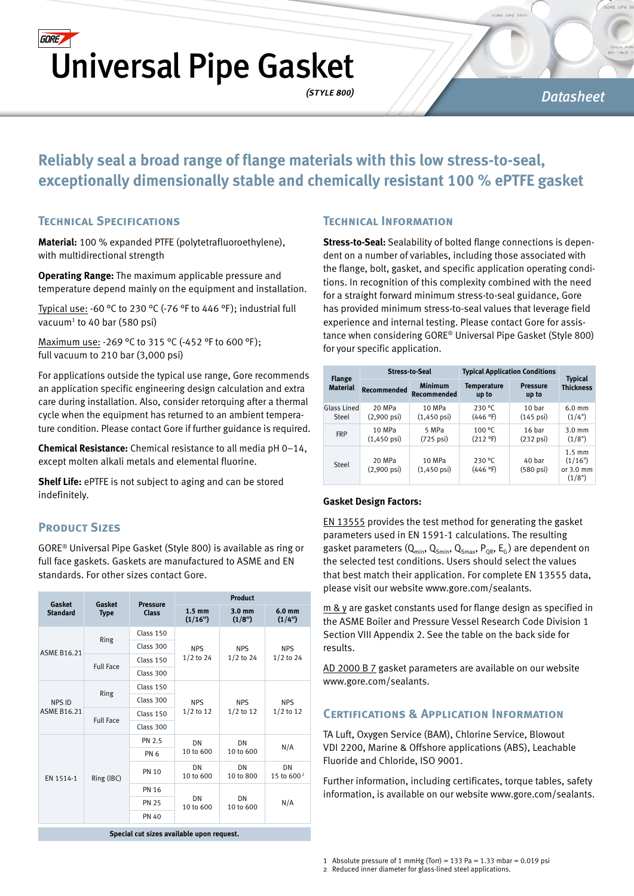## **GORE** Universal Pipe Gasket

*(style 800)*

#### *Datasheet*

### **Reliably seal a broad range of flange materials with this low stress-to-seal, exceptionally dimensionally stable and chemically resistant 100 % ePTFE gasket**

#### **Technical Specifications**

**Material:** 100 % expanded PTFE (polytetrafluoroethylene), with multidirectional strength

**Operating Range:** The maximum applicable pressure and temperature depend mainly on the equipment and installation.

Typical use: -60 °C to 230 °C (-76 °F to 446 °F); industrial full vacuum<sup>1</sup> to 40 bar (580 psi)

Maximum use: -269 °C to 315 °C (-452 °F to 600 °F ); full vacuum to 210 bar (3,000 psi)

For applications outside the typical use range, Gore recommends an application specific engineering design calculation and extra care during installation. Also, consider retorquing after a thermal cycle when the equipment has returned to an ambient temperature condition. Please contact Gore if further guidance is required.

**Chemical Resistance:** Chemical resistance to all media pH 0–14, except molten alkali metals and elemental fluorine.

**Shelf Life:** ePTFE is not subject to aging and can be stored indefinitely.

#### **PRODUCT SIZES**

GORE® Universal Pipe Gasket (Style 800) is available as ring or full face gaskets. Gaskets are manufactured to ASME and EN standards. For other sizes contact Gore.

| Gasket                                    | Gasket           | <b>Pressure</b> | <b>Product</b>              |                            |                              |  |
|-------------------------------------------|------------------|-----------------|-----------------------------|----------------------------|------------------------------|--|
| <b>Standard</b>                           | <b>Type</b>      | <b>Class</b>    | $1.5 \text{ mm}$<br>(1/16") | $3.0 \text{ mm}$<br>(1/8") | 6.0 <sub>mm</sub><br>(1/4")  |  |
| <b>ASME B16.21</b>                        | <b>Ring</b>      | Class 150       | <b>NPS</b>                  | <b>NPS</b><br>$1/2$ to 24  | <b>NPS</b><br>$1/2$ to 24    |  |
|                                           |                  | Class 300       |                             |                            |                              |  |
|                                           | <b>Full Face</b> | Class 150       | $1/2$ to 24                 |                            |                              |  |
|                                           |                  | Class 300       |                             |                            |                              |  |
|                                           |                  | Class 150       |                             |                            | <b>NPS</b><br>$1/2$ to 12    |  |
| <b>NPS ID</b><br><b>ASME B16.21</b>       | <b>Ring</b>      | Class 300       | <b>NPS</b>                  | <b>NPS</b><br>$1/2$ to 12  |                              |  |
|                                           |                  | Class 150       | $1/2$ to 12                 |                            |                              |  |
|                                           | <b>Full Face</b> | Class 300       |                             |                            |                              |  |
|                                           |                  | PN 2.5          | DN                          | DN                         | N/A                          |  |
|                                           |                  | PN <sub>6</sub> | 10 to 600                   | 10 to 600                  |                              |  |
| EN 1514-1                                 | Ring (IBC)       | <b>PN 10</b>    | DN<br>10 to 600             | DN<br>10 to 800            | DN<br>15 to 600 <sup>2</sup> |  |
|                                           |                  | <b>PN 16</b>    |                             | DN<br>10 to 600            | N/A                          |  |
|                                           |                  | <b>PN 25</b>    | DN<br>10 to 600             |                            |                              |  |
|                                           |                  | <b>PN 40</b>    |                             |                            |                              |  |
| Special cut sizes available upon request. |                  |                 |                             |                            |                              |  |

#### **Technical Information**

**Stress-to-Seal:** Sealability of bolted flange connections is dependent on a number of variables, including those associated with the flange, bolt, gasket, and specific application operating conditions. In recognition of this complexity combined with the need for a straight forward minimum stress-to-seal guidance, Gore has provided minimum stress-to-seal values that leverage field experience and internal testing. Please contact Gore for assistance when considering GORE® Universal Pipe Gasket (Style 800) for your specific application.

| <b>Flange</b><br><b>Material</b> | <b>Stress-to-Seal</b>            |                                      | <b>Typical Application Conditions</b> |                                          |                                                              |
|----------------------------------|----------------------------------|--------------------------------------|---------------------------------------|------------------------------------------|--------------------------------------------------------------|
|                                  | <b>Recommended</b>               | <b>Minimum</b><br><b>Recommended</b> | <b>Temperature</b><br>up to           | <b>Pressure</b><br>up to                 | <b>Typical</b><br><b>Thickness</b>                           |
| Glass Lined<br>Steel             | 20 MPa<br>$(2,900 \text{ psi})$  | 10 MPa<br>$(1,450 \,\text{psi})$     | 230 °C<br>(446 °F)                    | 10 <sub>bar</sub><br>$(145 \text{ psi})$ | $6.0 \text{ mm}$<br>(1/4")                                   |
| <b>FRP</b>                       | 10 MPa<br>$(1,450 \,\text{psi})$ | 5 MPa<br>$(725 \text{ psi})$         | 100 °C<br>(212 °F)                    | 16 bar<br>$(232 \text{ psi})$            | $3.0 \text{ mm}$<br>(1/8")                                   |
| Steel                            | 20 MPa<br>$(2,900 \text{ psi})$  | 10 MPa<br>$(1,450 \,\text{psi})$     | 230 °C<br>(446 °F)                    | 40 bar<br>$(580 \text{ psi})$            | $1.5 \text{ mm}$<br>(1/16")<br>or $3.0 \text{ mm}$<br>(1/8") |

#### **Gasket Design Factors:**

EN 13555 provides the test method for generating the gasket parameters used in EN 1591-1 calculations. The resulting gasket parameters  $(Q_{min}, Q_{Smin}, Q_{Smax}, P_{OR}, E_G)$  are dependent on the selected test conditions. Users should select the values that best match their application. For complete EN 13555 data, please visit our website www.gore.com/sealants.

 $m \& y$  are gasket constants used for flange design as specified in the ASME Boiler and Pressure Vessel Research Code Division 1 Section VIII Appendix 2. See the table on the back side for results.

AD 2000 B 7 gasket parameters are available on our website www.gore.com/sealants.

#### **Certifications & Application Information**

TA Luft, Oxygen Service (BAM), Chlorine Service, Blowout VDI 2200, Marine & Offshore applications (ABS), Leachable Fluoride and Chloride, ISO 9001.

Further information, including certificates, torque tables, safety information, is available on our website www.gore.com/sealants.

1 Absolute pressure of 1 mmHg (Torr) = 133 Pa = 1.33 mbar =  $0.019$  psi

<sup>2</sup> Reduced inner diameter for glass-lined steel applications.